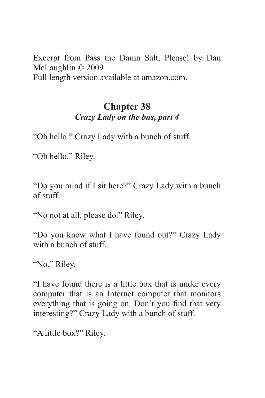Excerpt from Pass the Damn Salt, Please! by Dan McLaughlin © 2009 Full length version available at amazon,com.

## **Chapter 38** *Crazy Lady on the bus, part 4*

"Oh hello." Crazy Lady with a bunch of stuff.

"Oh hello." Riley.

"Do you mind if I sit here?" Crazy Lady with a bunch of stuff.

"No not at all, please do." Riley.

"Do you know what I have found out?" Crazy Lady with a bunch of stuff.

"No." Riley.

"I have found there is a little box that is under every computer that is an Internet computer that monitors everything that is going on. Don't you find that very interesting?" Crazy Lady with a bunch of stuff.

"A little box?" Riley.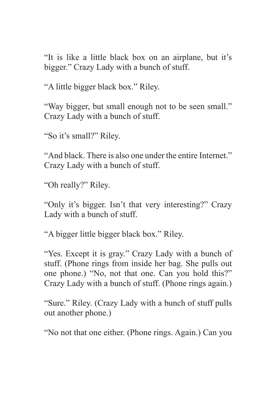"It is like a little black box on an airplane, but it's bigger." Crazy Lady with a bunch of stuff.

"A little bigger black box." Riley.

"Way bigger, but small enough not to be seen small." Crazy Lady with a bunch of stuff.

"So it's small?" Riley.

"And black. There is also one under the entire Internet." Crazy Lady with a bunch of stuff.

"Oh really?" Riley.

"Only it's bigger. Isn't that very interesting?" Crazy Lady with a bunch of stuff.

"A bigger little bigger black box." Riley.

"Yes. Except it is gray." Crazy Lady with a bunch of stuff. (Phone rings from inside her bag. She pulls out one phone.) "No, not that one. Can you hold this?" Crazy Lady with a bunch of stuff. (Phone rings again.)

"Sure." Riley. (Crazy Lady with a bunch of stuff pulls out another phone.)

"No not that one either. (Phone rings. Again.) Can you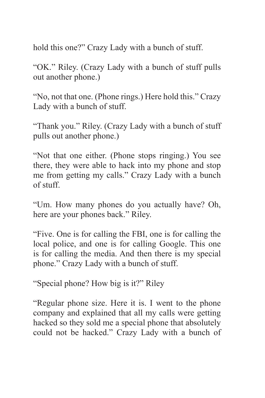hold this one?" Crazy Lady with a bunch of stuff.

"OK." Riley. (Crazy Lady with a bunch of stuff pulls out another phone.)

"No, not that one. (Phone rings.) Here hold this." Crazy Lady with a bunch of stuff.

"Thank you." Riley. (Crazy Lady with a bunch of stuff pulls out another phone.)

"Not that one either. (Phone stops ringing.) You see there, they were able to hack into my phone and stop me from getting my calls." Crazy Lady with a bunch of stuff.

"Um. How many phones do you actually have? Oh, here are your phones back." Riley.

"Five. One is for calling the FBI, one is for calling the local police, and one is for calling Google. This one is for calling the media. And then there is my special phone." Crazy Lady with a bunch of stuff.

"Special phone? How big is it?" Riley

"Regular phone size. Here it is. I went to the phone company and explained that all my calls were getting hacked so they sold me a special phone that absolutely could not be hacked." Crazy Lady with a bunch of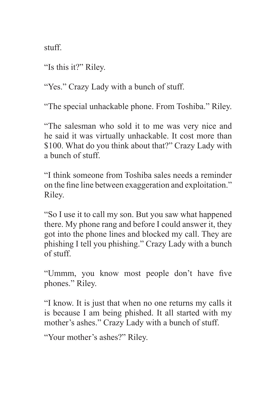stuff.

"Is this it?" Riley.

"Yes." Crazy Lady with a bunch of stuff.

"The special unhackable phone. From Toshiba." Riley.

"The salesman who sold it to me was very nice and he said it was virtually unhackable. It cost more than \$100. What do you think about that?" Crazy Lady with a bunch of stuff.

"I think someone from Toshiba sales needs a reminder on the fine line between exaggeration and exploitation." Riley.

"So I use it to call my son. But you saw what happened there. My phone rang and before I could answer it, they got into the phone lines and blocked my call. They are phishing I tell you phishing." Crazy Lady with a bunch of stuff.

"Ummm, you know most people don't have five phones." Riley.

"I know. It is just that when no one returns my calls it is because I am being phished. It all started with my mother's ashes." Crazy Lady with a bunch of stuff.

"Your mother's ashes?" Riley.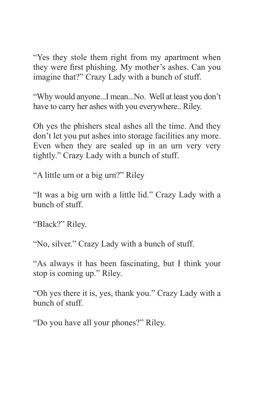"Yes they stole them right from my apartment when they were first phishing. My mother's ashes. Can you imagine that?" Crazy Lady with a bunch of stuff.

"Why would anyone...I mean...No. Well at least you don't have to carry her ashes with you everywhere.. Riley.

Oh yes the phishers steal ashes all the time. And they don't let you put ashes into storage facilities any more. Even when they are sealed up in an urn very very tightly." Crazy Lady with a bunch of stuff.

"A little urn or a big urn?" Riley

"It was a big urn with a little lid." Crazy Lady with a bunch of stuff.

"Black?" Riley.

"No, silver." Crazy Lady with a bunch of stuff.

"As always it has been fascinating, but I think your stop is coming up." Riley.

"Oh yes there it is, yes, thank you." Crazy Lady with a bunch of stuff.

"Do you have all your phones?" Riley.